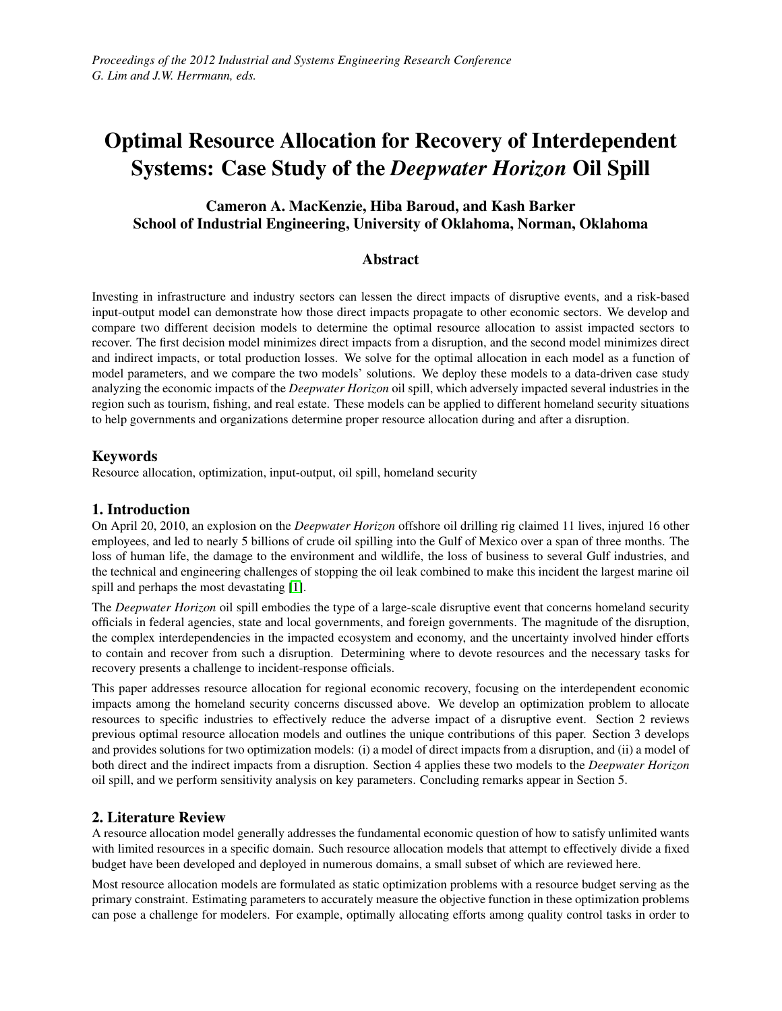# Optimal Resource Allocation for Recovery of Interdependent Systems: Case Study of the *Deepwater Horizon* Oil Spill

# Cameron A. MacKenzie, Hiba Baroud, and Kash Barker School of Industrial Engineering, University of Oklahoma, Norman, Oklahoma

# **Abstract**

Investing in infrastructure and industry sectors can lessen the direct impacts of disruptive events, and a risk-based input-output model can demonstrate how those direct impacts propagate to other economic sectors. We develop and compare two different decision models to determine the optimal resource allocation to assist impacted sectors to recover. The first decision model minimizes direct impacts from a disruption, and the second model minimizes direct and indirect impacts, or total production losses. We solve for the optimal allocation in each model as a function of model parameters, and we compare the two models' solutions. We deploy these models to a data-driven case study analyzing the economic impacts of the *Deepwater Horizon* oil spill, which adversely impacted several industries in the region such as tourism, fishing, and real estate. These models can be applied to different homeland security situations to help governments and organizations determine proper resource allocation during and after a disruption.

# Keywords

Resource allocation, optimization, input-output, oil spill, homeland security

# 1. Introduction

On April 20, 2010, an explosion on the *Deepwater Horizon* offshore oil drilling rig claimed 11 lives, injured 16 other employees, and led to nearly 5 billions of crude oil spilling into the Gulf of Mexico over a span of three months. The loss of human life, the damage to the environment and wildlife, the loss of business to several Gulf industries, and the technical and engineering challenges of stopping the oil leak combined to make this incident the largest marine oil spill and perhaps the most devastating [\[1\]](#page-8-0).

The *Deepwater Horizon* oil spill embodies the type of a large-scale disruptive event that concerns homeland security officials in federal agencies, state and local governments, and foreign governments. The magnitude of the disruption, the complex interdependencies in the impacted ecosystem and economy, and the uncertainty involved hinder efforts to contain and recover from such a disruption. Determining where to devote resources and the necessary tasks for recovery presents a challenge to incident-response officials.

This paper addresses resource allocation for regional economic recovery, focusing on the interdependent economic impacts among the homeland security concerns discussed above. We develop an optimization problem to allocate resources to specific industries to effectively reduce the adverse impact of a disruptive event. Section 2 reviews previous optimal resource allocation models and outlines the unique contributions of this paper. Section 3 develops and provides solutions for two optimization models: (i) a model of direct impacts from a disruption, and (ii) a model of both direct and the indirect impacts from a disruption. Section 4 applies these two models to the *Deepwater Horizon* oil spill, and we perform sensitivity analysis on key parameters. Concluding remarks appear in Section 5.

# 2. Literature Review

A resource allocation model generally addresses the fundamental economic question of how to satisfy unlimited wants with limited resources in a specific domain. Such resource allocation models that attempt to effectively divide a fixed budget have been developed and deployed in numerous domains, a small subset of which are reviewed here.

Most resource allocation models are formulated as static optimization problems with a resource budget serving as the primary constraint. Estimating parameters to accurately measure the objective function in these optimization problems can pose a challenge for modelers. For example, optimally allocating efforts among quality control tasks in order to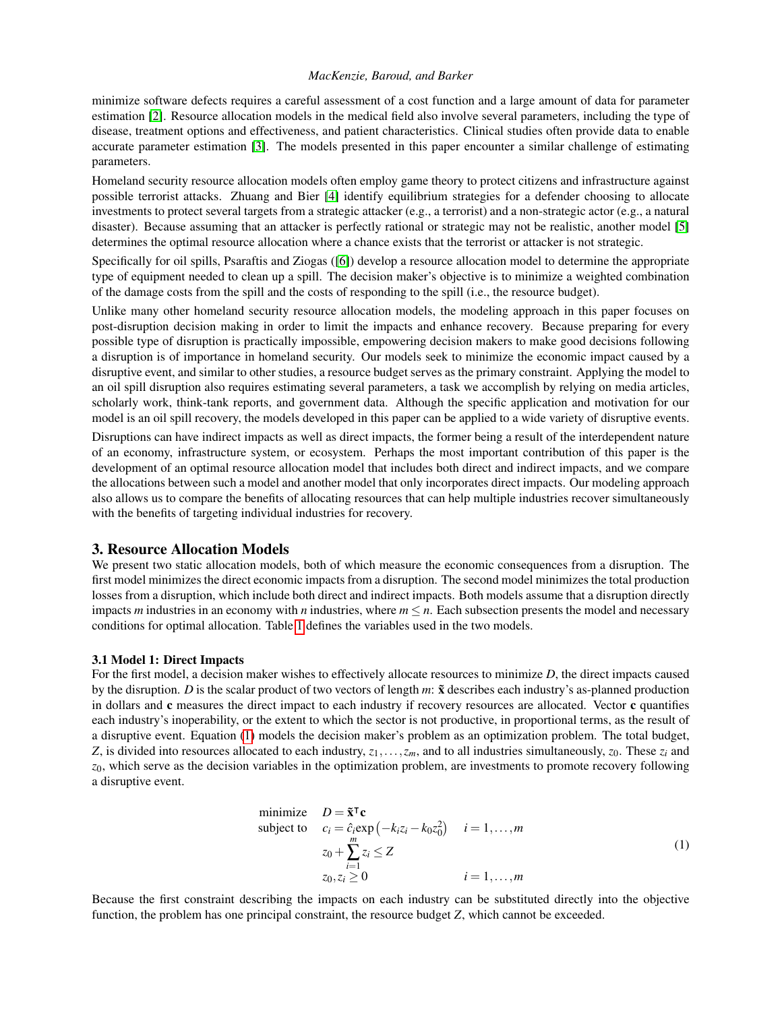minimize software defects requires a careful assessment of a cost function and a large amount of data for parameter estimation [\[2\]](#page-8-1). Resource allocation models in the medical field also involve several parameters, including the type of disease, treatment options and effectiveness, and patient characteristics. Clinical studies often provide data to enable accurate parameter estimation [\[3\]](#page-8-2). The models presented in this paper encounter a similar challenge of estimating parameters.

Homeland security resource allocation models often employ game theory to protect citizens and infrastructure against possible terrorist attacks. Zhuang and Bier [\[4\]](#page-8-3) identify equilibrium strategies for a defender choosing to allocate investments to protect several targets from a strategic attacker (e.g., a terrorist) and a non-strategic actor (e.g., a natural disaster). Because assuming that an attacker is perfectly rational or strategic may not be realistic, another model [\[5\]](#page-8-4) determines the optimal resource allocation where a chance exists that the terrorist or attacker is not strategic.

Specifically for oil spills, Psaraftis and Ziogas ([\[6\]](#page-9-0)) develop a resource allocation model to determine the appropriate type of equipment needed to clean up a spill. The decision maker's objective is to minimize a weighted combination of the damage costs from the spill and the costs of responding to the spill (i.e., the resource budget).

Unlike many other homeland security resource allocation models, the modeling approach in this paper focuses on post-disruption decision making in order to limit the impacts and enhance recovery. Because preparing for every possible type of disruption is practically impossible, empowering decision makers to make good decisions following a disruption is of importance in homeland security. Our models seek to minimize the economic impact caused by a disruptive event, and similar to other studies, a resource budget serves as the primary constraint. Applying the model to an oil spill disruption also requires estimating several parameters, a task we accomplish by relying on media articles, scholarly work, think-tank reports, and government data. Although the specific application and motivation for our model is an oil spill recovery, the models developed in this paper can be applied to a wide variety of disruptive events.

Disruptions can have indirect impacts as well as direct impacts, the former being a result of the interdependent nature of an economy, infrastructure system, or ecosystem. Perhaps the most important contribution of this paper is the development of an optimal resource allocation model that includes both direct and indirect impacts, and we compare the allocations between such a model and another model that only incorporates direct impacts. Our modeling approach also allows us to compare the benefits of allocating resources that can help multiple industries recover simultaneously with the benefits of targeting individual industries for recovery.

## 3. Resource Allocation Models

We present two static allocation models, both of which measure the economic consequences from a disruption. The first model minimizes the direct economic impacts from a disruption. The second model minimizes the total production losses from a disruption, which include both direct and indirect impacts. Both models assume that a disruption directly impacts *m* industries in an economy with *n* industries, where  $m \leq n$ . Each subsection presents the model and necessary conditions for optimal allocation. Table [1](#page-2-0) defines the variables used in the two models.

#### 3.1 Model 1: Direct Impacts

For the first model, a decision maker wishes to effectively allocate resources to minimize *D*, the direct impacts caused by the disruption. *D* is the scalar product of two vectors of length *m*:  $\tilde{x}$  describes each industry's as-planned production in dollars and c measures the direct impact to each industry if recovery resources are allocated. Vector c quantifies each industry's inoperability, or the extent to which the sector is not productive, in proportional terms, as the result of a disruptive event. Equation [\(1\)](#page-1-0) models the decision maker's problem as an optimization problem. The total budget, *Z*, is divided into resources allocated to each industry,  $z_1, \ldots, z_m$ , and to all industries simultaneously,  $z_0$ . These  $z_i$  and *z*0, which serve as the decision variables in the optimization problem, are investments to promote recovery following a disruptive event.

<span id="page-1-0"></span>minimize 
$$
D = \tilde{\mathbf{x}}^T \mathbf{c}
$$
  
\nsubject to  $c_i = \hat{c}_i \exp(-k_i z_i - k_0 z_0^2)$   $i = 1,...,m$   
\n $z_0 + \sum_{i=1}^m z_i \le Z$   
\n $z_0, z_i \ge 0$   $i = 1,...,m$  (1)

Because the first constraint describing the impacts on each industry can be substituted directly into the objective function, the problem has one principal constraint, the resource budget *Z*, which cannot be exceeded.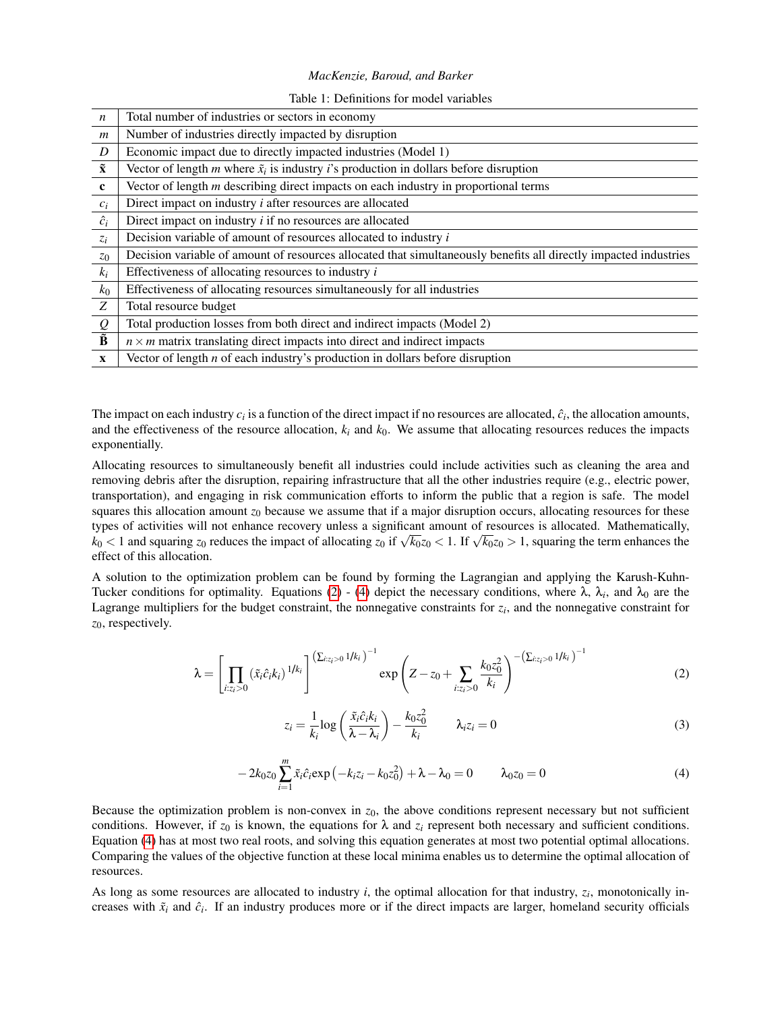#### Table 1: Definitions for model variables

<span id="page-2-0"></span>

| $\boldsymbol{n}$                | Total number of industries or sectors in economy                                                                 |  |  |
|---------------------------------|------------------------------------------------------------------------------------------------------------------|--|--|
| $\boldsymbol{m}$                | Number of industries directly impacted by disruption                                                             |  |  |
| D                               | Economic impact due to directly impacted industries (Model 1)                                                    |  |  |
| $\tilde{\mathbf{x}}$            | Vector of length m where $\tilde{x}_i$ is industry <i>i</i> 's production in dollars before disruption           |  |  |
| $\mathbf c$                     | Vector of length $m$ describing direct impacts on each industry in proportional terms                            |  |  |
| $c_i$                           | Direct impact on industry $i$ after resources are allocated                                                      |  |  |
| $\hat{c}_i$                     | Direct impact on industry $i$ if no resources are allocated                                                      |  |  |
| $z_i$                           | Decision variable of amount of resources allocated to industry i                                                 |  |  |
| $z_0$                           | Decision variable of amount of resources allocated that simultaneously benefits all directly impacted industries |  |  |
| $k_i$                           | Effectiveness of allocating resources to industry <i>i</i>                                                       |  |  |
| $k_0$                           | Effectiveness of allocating resources simultaneously for all industries                                          |  |  |
| Z                               | Total resource budget                                                                                            |  |  |
| ${\mathcal{Q}}$                 | Total production losses from both direct and indirect impacts (Model 2)                                          |  |  |
| $\overline{\tilde{\mathbf{B}}}$ | $n \times m$ matrix translating direct impacts into direct and indirect impacts                                  |  |  |
| $\mathbf{X}$                    | Vector of length $n$ of each industry's production in dollars before disruption                                  |  |  |

The impact on each industry  $c_i$  is a function of the direct impact if no resources are allocated,  $\hat{c}_i$ , the allocation amounts, and the effectiveness of the resource allocation,  $k_i$  and  $k_0$ . We assume that allocating resources reduces the impacts exponentially.

Allocating resources to simultaneously benefit all industries could include activities such as cleaning the area and removing debris after the disruption, repairing infrastructure that all the other industries require (e.g., electric power, transportation), and engaging in risk communication efforts to inform the public that a region is safe. The model squares this allocation amount  $z_0$  because we assume that if a major disruption occurs, allocating resources for these types of activities will not enhance recovery unless a significant amount of resources is allocated. Mathematically, *k*<sub>0</sub> < 1 and squaring *z*<sub>0</sub> reduces the impact of allocating *z*<sub>0</sub> if  $\sqrt{k_0}z_0$  < 1. If  $\sqrt{k_0}z_0$  > 1, squaring the term enhances the effect of this allocation.

A solution to the optimization problem can be found by forming the Lagrangian and applying the Karush-Kuhn-Tucker conditions for optimality. Equations [\(2\)](#page-2-1) - [\(4\)](#page-2-2) depict the necessary conditions, where  $\lambda$ ,  $\lambda_i$ , and  $\lambda_0$  are the Lagrange multipliers for the budget constraint, the nonnegative constraints for  $z_i$ , and the nonnegative constraint for *z*0, respectively.

<span id="page-2-1"></span>
$$
\lambda = \left[ \prod_{i:z_i>0} (\tilde{x}_i \hat{c}_i k_i)^{1/k_i} \right]^{(\sum_{i:z_i>0} 1/k_i)^{-1}} \exp\left( Z - z_0 + \sum_{i:z_i>0} \frac{k_0 z_0^2}{k_i} \right)^{-(\sum_{i:z_i>0} 1/k_i)^{-1}}
$$
(2)

$$
z_i = \frac{1}{k_i} \log \left( \frac{\tilde{x}_i \hat{c}_i k_i}{\lambda - \lambda_i} \right) - \frac{k_0 z_0^2}{k_i} \qquad \lambda_i z_i = 0 \tag{3}
$$

<span id="page-2-2"></span>
$$
-2k_0z_0\sum_{i=1}^m\tilde{x}_i\hat{c}_i\exp(-k_iz_i-k_0z_0^2)+\lambda-\lambda_0=0\qquad\lambda_0z_0=0
$$
\n(4)

Because the optimization problem is non-convex in *z*0, the above conditions represent necessary but not sufficient conditions. However, if  $z_0$  is known, the equations for  $\lambda$  and  $z_i$  represent both necessary and sufficient conditions. Equation [\(4\)](#page-2-2) has at most two real roots, and solving this equation generates at most two potential optimal allocations. Comparing the values of the objective function at these local minima enables us to determine the optimal allocation of resources.

As long as some resources are allocated to industry  $i$ , the optimal allocation for that industry,  $z_i$ , monotonically increases with  $\tilde{x}_i$  and  $\hat{c}_i$ . If an industry produces more or if the direct impacts are larger, homeland security officials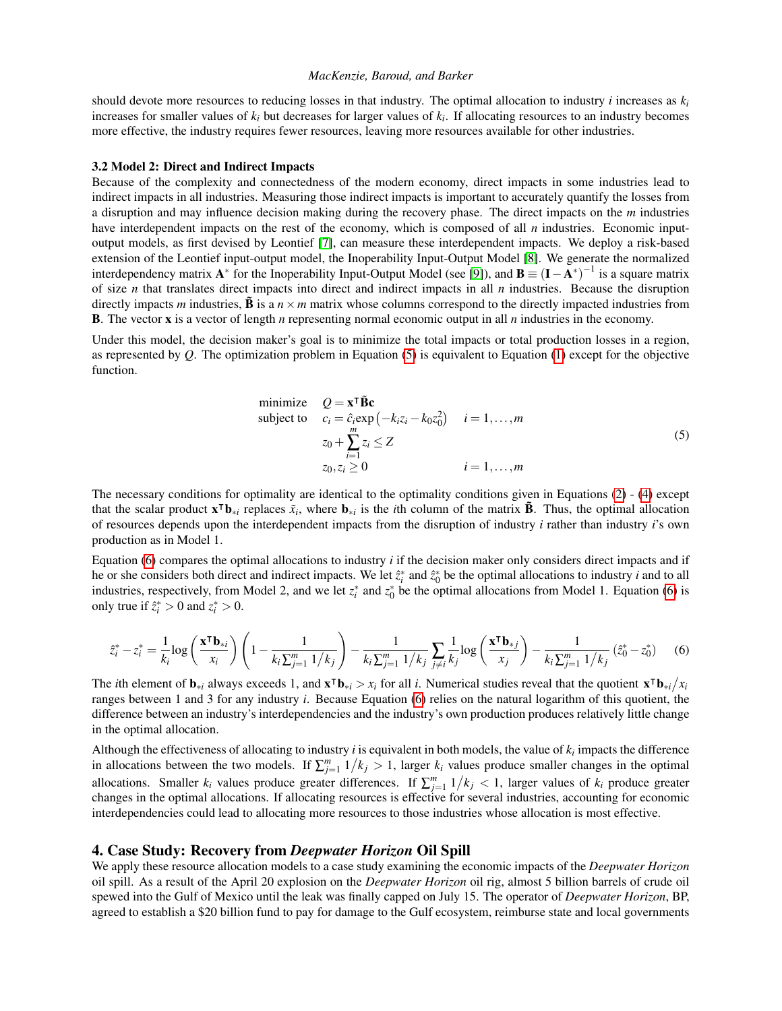should devote more resources to reducing losses in that industry. The optimal allocation to industry *i* increases as  $k_i$ increases for smaller values of *k<sup>i</sup>* but decreases for larger values of *k<sup>i</sup>* . If allocating resources to an industry becomes more effective, the industry requires fewer resources, leaving more resources available for other industries.

#### 3.2 Model 2: Direct and Indirect Impacts

Because of the complexity and connectedness of the modern economy, direct impacts in some industries lead to indirect impacts in all industries. Measuring those indirect impacts is important to accurately quantify the losses from a disruption and may influence decision making during the recovery phase. The direct impacts on the *m* industries have interdependent impacts on the rest of the economy, which is composed of all *n* industries. Economic inputoutput models, as first devised by Leontief [\[7\]](#page-9-1), can measure these interdependent impacts. We deploy a risk-based extension of the Leontief input-output model, the Inoperability Input-Output Model [\[8\]](#page-9-2). We generate the normalized interdependency matrix  $A^*$  for the Inoperability Input-Output Model (see [\[9\]](#page-9-3)), and  $B \equiv (I - A^*)^{-1}$  is a square matrix of size *n* that translates direct impacts into direct and indirect impacts in all *n* industries. Because the disruption directly impacts *m* industries,  $\vec{B}$  is a  $n \times m$  matrix whose columns correspond to the directly impacted industries from B. The vector x is a vector of length *n* representing normal economic output in all *n* industries in the economy.

Under this model, the decision maker's goal is to minimize the total impacts or total production losses in a region, as represented by *Q*. The optimization problem in Equation [\(5\)](#page-3-0) is equivalent to Equation [\(1\)](#page-1-0) except for the objective function.

<span id="page-3-0"></span>minimize 
$$
Q = \mathbf{x}^\mathsf{T} \tilde{\mathbf{B}} \mathbf{c}
$$
  
\nsubject to  $c_i = \hat{c}_i \exp(-k_i z_i - k_0 z_0^2)$   $i = 1,..., m$   
\n $z_0 + \sum_{i=1}^m z_i \le Z$   
\n $z_0, z_i \ge 0$   $i = 1,..., m$  (5)

The necessary conditions for optimality are identical to the optimality conditions given in Equations [\(2\)](#page-2-1) - [\(4\)](#page-2-2) except that the scalar product  $\mathbf{x}^\mathsf{T} \mathbf{b}_{*i}$  replaces  $\tilde{x}_i$ , where  $\mathbf{b}_{*i}$  is the *i*th column of the matrix  $\tilde{\mathbf{B}}$ . Thus, the optimal allocation of resources depends upon the interdependent impacts from the disruption of industry *i* rather than industry *i*'s own production as in Model 1.

Equation [\(6\)](#page-3-1) compares the optimal allocations to industry *i* if the decision maker only considers direct impacts and if he or she considers both direct and indirect impacts. We let  $z_i^*$  and  $\tilde{z}_0^*$  be the optimal allocations to industry *i* and to all industries, respectively, from Model 2, and we let  $z_i^*$  and  $z_0^*$  be the optimal allocations from Model 1. Equation [\(6\)](#page-3-1) is only true if  $\hat{z}_i^* > 0$  and  $z_i^* > 0$ .

<span id="page-3-1"></span>
$$
\hat{z}_{i}^{*} - z_{i}^{*} = \frac{1}{k_{i}} \log \left( \frac{\mathbf{x}^{\mathsf{T}} \mathbf{b}_{*i}}{x_{i}} \right) \left( 1 - \frac{1}{k_{i} \sum_{j=1}^{m} 1/k_{j}} \right) - \frac{1}{k_{i} \sum_{j=1}^{m} 1/k_{j}} \sum_{j \neq i} \frac{1}{k_{j}} \log \left( \frac{\mathbf{x}^{\mathsf{T}} \mathbf{b}_{*j}}{x_{j}} \right) - \frac{1}{k_{i} \sum_{j=1}^{m} 1/k_{j}} \left( \hat{z}_{0}^{*} - z_{0}^{*} \right) \tag{6}
$$

The *i*th element of  $\mathbf{b}_{*i}$  always exceeds 1, and  $\mathbf{x}^\mathsf{T} \mathbf{b}_{*i} > x_i$  for all *i*. Numerical studies reveal that the quotient  $\mathbf{x}^\mathsf{T} \mathbf{b}_{*i}/x_i$ ranges between 1 and 3 for any industry *i*. Because Equation [\(6\)](#page-3-1) relies on the natural logarithm of this quotient, the difference between an industry's interdependencies and the industry's own production produces relatively little change in the optimal allocation.

Although the effectiveness of allocating to industry  $i$  is equivalent in both models, the value of  $k_i$  impacts the difference in allocations between the two models. If  $\sum_{j=1}^{m} 1/k_j > 1$ , larger  $k_i$  values produce smaller changes in the optimal allocations. Smaller  $k_i$  values produce greater differences. If  $\sum_{j=1}^{m} 1/k_j < 1$ , larger values of  $k_i$  produce greater changes in the optimal allocations. If allocating resources is effective for several industries, accounting for economic interdependencies could lead to allocating more resources to those industries whose allocation is most effective.

## 4. Case Study: Recovery from *Deepwater Horizon* Oil Spill

We apply these resource allocation models to a case study examining the economic impacts of the *Deepwater Horizon* oil spill. As a result of the April 20 explosion on the *Deepwater Horizon* oil rig, almost 5 billion barrels of crude oil spewed into the Gulf of Mexico until the leak was finally capped on July 15. The operator of *Deepwater Horizon*, BP, agreed to establish a \$20 billion fund to pay for damage to the Gulf ecosystem, reimburse state and local governments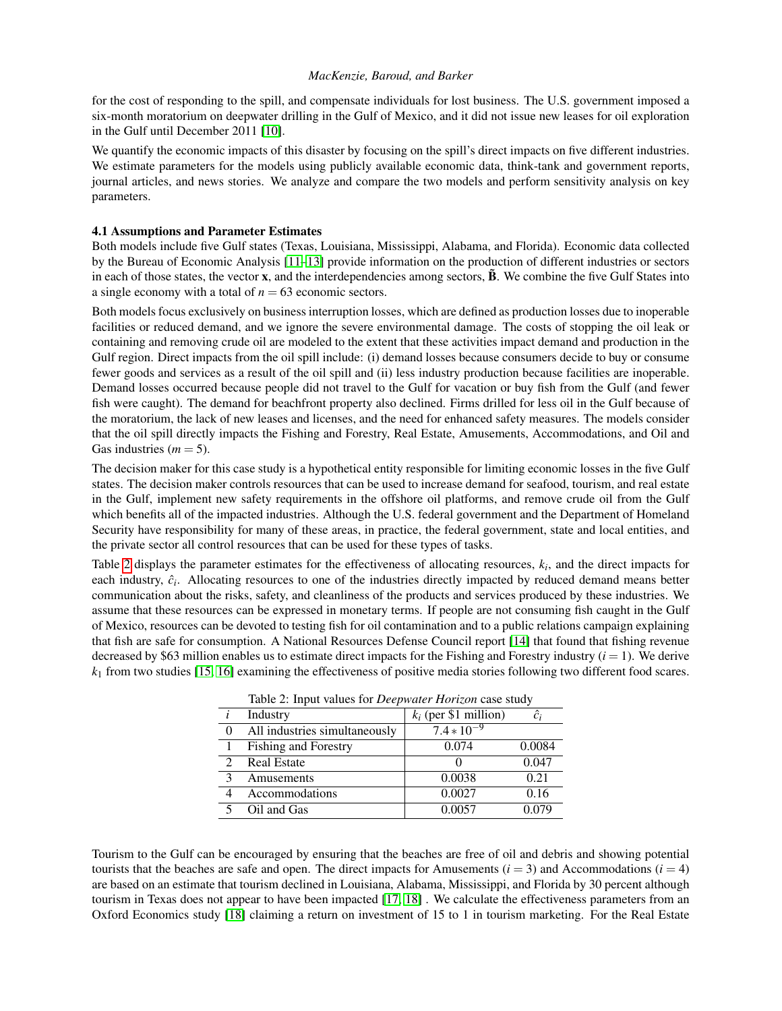for the cost of responding to the spill, and compensate individuals for lost business. The U.S. government imposed a six-month moratorium on deepwater drilling in the Gulf of Mexico, and it did not issue new leases for oil exploration in the Gulf until December 2011 [\[10\]](#page-9-4).

We quantify the economic impacts of this disaster by focusing on the spill's direct impacts on five different industries. We estimate parameters for the models using publicly available economic data, think-tank and government reports, journal articles, and news stories. We analyze and compare the two models and perform sensitivity analysis on key parameters.

# 4.1 Assumptions and Parameter Estimates

Both models include five Gulf states (Texas, Louisiana, Mississippi, Alabama, and Florida). Economic data collected by the Bureau of Economic Analysis [\[11–](#page-9-5)[13\]](#page-9-6) provide information on the production of different industries or sectors in each of those states, the vector  $x$ , and the interdependencies among sectors,  $\tilde{B}$ . We combine the five Gulf States into a single economy with a total of  $n = 63$  economic sectors.

Both models focus exclusively on business interruption losses, which are defined as production losses due to inoperable facilities or reduced demand, and we ignore the severe environmental damage. The costs of stopping the oil leak or containing and removing crude oil are modeled to the extent that these activities impact demand and production in the Gulf region. Direct impacts from the oil spill include: (i) demand losses because consumers decide to buy or consume fewer goods and services as a result of the oil spill and (ii) less industry production because facilities are inoperable. Demand losses occurred because people did not travel to the Gulf for vacation or buy fish from the Gulf (and fewer fish were caught). The demand for beachfront property also declined. Firms drilled for less oil in the Gulf because of the moratorium, the lack of new leases and licenses, and the need for enhanced safety measures. The models consider that the oil spill directly impacts the Fishing and Forestry, Real Estate, Amusements, Accommodations, and Oil and Gas industries  $(m = 5)$ .

The decision maker for this case study is a hypothetical entity responsible for limiting economic losses in the five Gulf states. The decision maker controls resources that can be used to increase demand for seafood, tourism, and real estate in the Gulf, implement new safety requirements in the offshore oil platforms, and remove crude oil from the Gulf which benefits all of the impacted industries. Although the U.S. federal government and the Department of Homeland Security have responsibility for many of these areas, in practice, the federal government, state and local entities, and the private sector all control resources that can be used for these types of tasks.

<span id="page-4-0"></span>Table [2](#page-4-0) displays the parameter estimates for the effectiveness of allocating resources,  $k_i$ , and the direct impacts for each industry,  $\hat{c}_i$ . Allocating resources to one of the industries directly impacted by reduced demand means better communication about the risks, safety, and cleanliness of the products and services produced by these industries. We assume that these resources can be expressed in monetary terms. If people are not consuming fish caught in the Gulf of Mexico, resources can be devoted to testing fish for oil contamination and to a public relations campaign explaining that fish are safe for consumption. A National Resources Defense Council report [\[14\]](#page-9-7) that found that fishing revenue decreased by \$63 million enables us to estimate direct impacts for the Fishing and Forestry industry  $(i = 1)$ . We derive *k*<sup>1</sup> from two studies [\[15,](#page-9-8) [16\]](#page-9-9) examining the effectiveness of positive media stories following two different food scares.

| rable 2. hiput values for <i>Deepwarer</i> Hortzon case study |                               |                         |        |  |
|---------------------------------------------------------------|-------------------------------|-------------------------|--------|--|
|                                                               | Industry                      | $k_i$ (per \$1 million) | ĉi     |  |
| 0                                                             | All industries simultaneously | $7.4*10^{-9}$           |        |  |
|                                                               | <b>Fishing and Forestry</b>   | 0.074                   | 0.0084 |  |
| $\mathcal{D}_{\mathcal{L}}$                                   | <b>Real Estate</b>            |                         | 0.047  |  |
| κ                                                             | Amusements                    | 0.0038                  | 0.21   |  |
|                                                               | Accommodations                | 0.0027                  | 0.16   |  |
|                                                               | Oil and Gas                   | 0.0057                  | 0.079  |  |

Table 2: Input values for *Deepwater Horizon* case study

Tourism to the Gulf can be encouraged by ensuring that the beaches are free of oil and debris and showing potential tourists that the beaches are safe and open. The direct impacts for Amusements  $(i = 3)$  and Accommodations  $(i = 4)$ are based on an estimate that tourism declined in Louisiana, Alabama, Mississippi, and Florida by 30 percent although tourism in Texas does not appear to have been impacted [\[17,](#page-9-10) [18\]](#page-9-11) . We calculate the effectiveness parameters from an Oxford Economics study [\[18\]](#page-9-11) claiming a return on investment of 15 to 1 in tourism marketing. For the Real Estate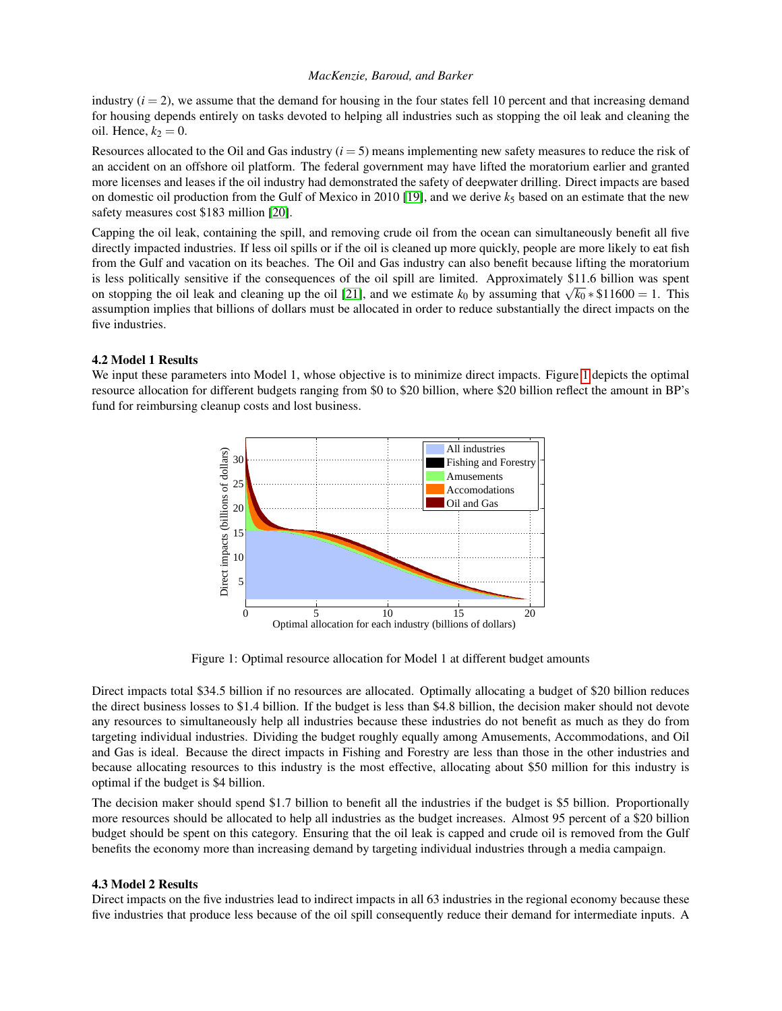industry  $(i = 2)$ , we assume that the demand for housing in the four states fell 10 percent and that increasing demand for housing depends entirely on tasks devoted to helping all industries such as stopping the oil leak and cleaning the oil. Hence,  $k_2 = 0$ .

Resources allocated to the Oil and Gas industry (*i* = 5) means implementing new safety measures to reduce the risk of an accident on an offshore oil platform. The federal government may have lifted the moratorium earlier and granted more licenses and leases if the oil industry had demonstrated the safety of deepwater drilling. Direct impacts are based on domestic oil production from the Gulf of Mexico in 2010 [\[19\]](#page-9-12), and we derive  $k_5$  based on an estimate that the new safety measures cost \$183 million [\[20\]](#page-9-13).

Capping the oil leak, containing the spill, and removing crude oil from the ocean can simultaneously benefit all five directly impacted industries. If less oil spills or if the oil is cleaned up more quickly, people are more likely to eat fish from the Gulf and vacation on its beaches. The Oil and Gas industry can also benefit because lifting the moratorium is less politically sensitive if the consequences of the oil spill are limited. Approximately \$11.6 billion was spent on stopping the oil leak and cleaning up the oil [\[21\]](#page-9-14), and we estimate  $k_0$  by assuming that  $\sqrt{k_0} * \$11600 = 1$ . This assumption implies that billions of dollars must be allocated in order to reduce substantially the direct impacts on the five industries.

## 4.2 Model 1 Results

<span id="page-5-0"></span>We input these parameters into Model [1](#page-5-0), whose objective is to minimize direct impacts. Figure 1 depicts the optimal resource allocation for different budgets ranging from \$0 to \$20 billion, where \$20 billion reflect the amount in BP's fund for reimbursing cleanup costs and lost business.



Figure 1: Optimal resource allocation for Model 1 at different budget amounts

Direct impacts total \$34.5 billion if no resources are allocated. Optimally allocating a budget of \$20 billion reduces the direct business losses to \$1.4 billion. If the budget is less than \$4.8 billion, the decision maker should not devote any resources to simultaneously help all industries because these industries do not benefit as much as they do from targeting individual industries. Dividing the budget roughly equally among Amusements, Accommodations, and Oil and Gas is ideal. Because the direct impacts in Fishing and Forestry are less than those in the other industries and because allocating resources to this industry is the most effective, allocating about \$50 million for this industry is optimal if the budget is \$4 billion.

The decision maker should spend \$1.7 billion to benefit all the industries if the budget is \$5 billion. Proportionally more resources should be allocated to help all industries as the budget increases. Almost 95 percent of a \$20 billion budget should be spent on this category. Ensuring that the oil leak is capped and crude oil is removed from the Gulf benefits the economy more than increasing demand by targeting individual industries through a media campaign.

## 4.3 Model 2 Results

Direct impacts on the five industries lead to indirect impacts in all 63 industries in the regional economy because these five industries that produce less because of the oil spill consequently reduce their demand for intermediate inputs. A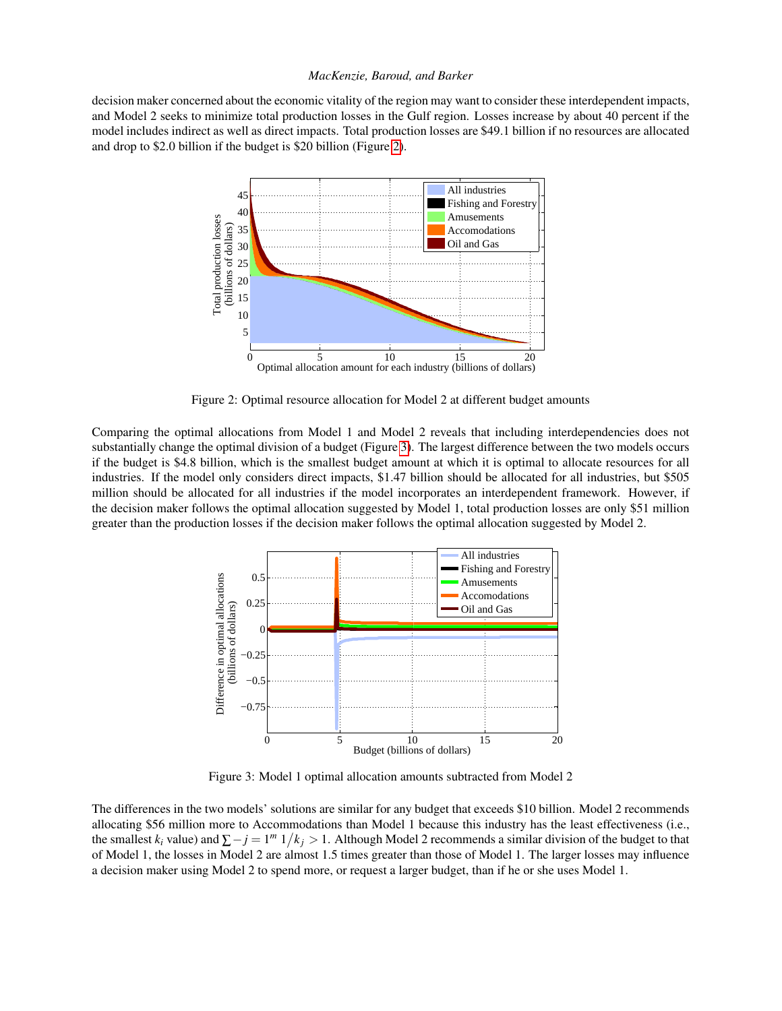<span id="page-6-0"></span>decision maker concerned about the economic vitality of the region may want to consider these interdependent impacts, and Model 2 seeks to minimize total production losses in the Gulf region. Losses increase by about 40 percent if the model includes indirect as well as direct impacts. Total production losses are \$49.1 billion if no resources are allocated and drop to \$2.0 billion if the budget is \$20 billion (Figure [2\)](#page-6-0).



Figure 2: Optimal resource allocation for Model 2 at different budget amounts

Comparing the optimal allocations from Model 1 and Model 2 reveals that including interdependencies does not substantially change the optimal division of a budget (Figure [3\)](#page-6-1). The largest difference between the two models occurs if the budget is \$4.8 billion, which is the smallest budget amount at which it is optimal to allocate resources for all industries. If the model only considers direct impacts, \$1.47 billion should be allocated for all industries, but \$505 million should be allocated for all industries if the model incorporates an interdependent framework. However, if the decision maker follows the optimal allocation suggested by Model 1, total production losses are only \$51 million greater than the production losses if the decision maker follows the optimal allocation suggested by Model 2.

<span id="page-6-1"></span>

Figure 3: Model 1 optimal allocation amounts subtracted from Model 2

The differences in the two models' solutions are similar for any budget that exceeds \$10 billion. Model 2 recommends allocating \$56 million more to Accommodations than Model 1 because this industry has the least effectiveness (i.e., the smallest  $k_i$  value) and  $\sum -j = 1^m 1/k_j > 1$ . Although Model 2 recommends a similar division of the budget to that of Model 1, the losses in Model 2 are almost 1.5 times greater than those of Model 1. The larger losses may influence a decision maker using Model 2 to spend more, or request a larger budget, than if he or she uses Model 1.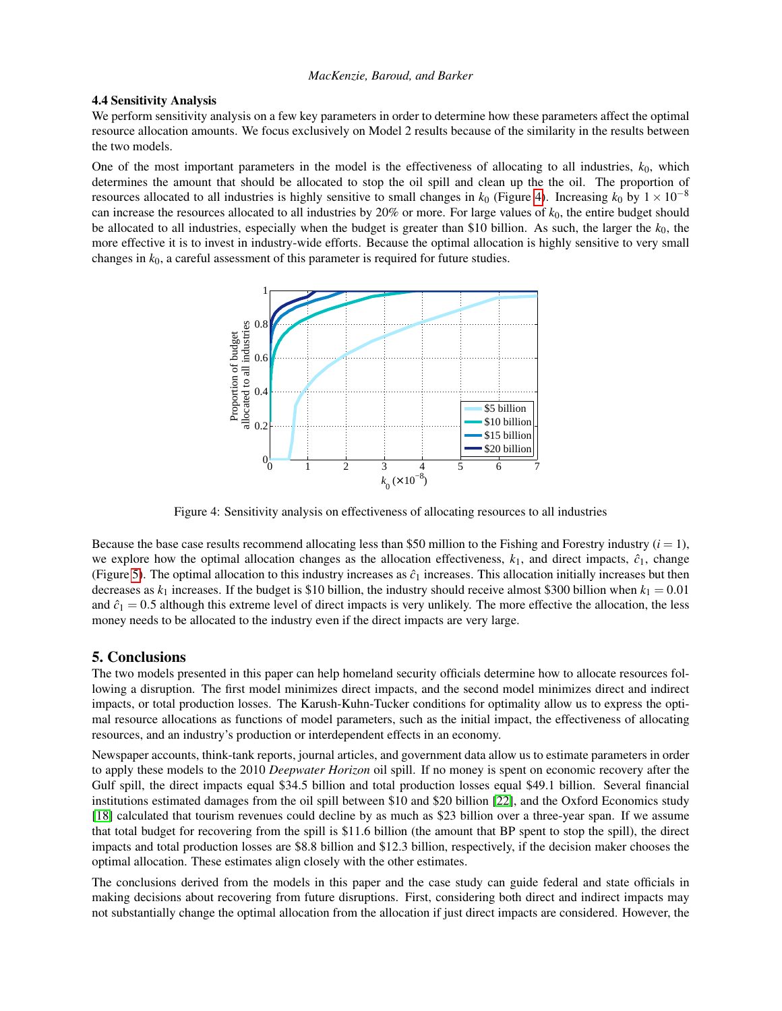## 4.4 Sensitivity Analysis

We perform sensitivity analysis on a few key parameters in order to determine how these parameters affect the optimal resource allocation amounts. We focus exclusively on Model 2 results because of the similarity in the results between the two models.

<span id="page-7-0"></span>One of the most important parameters in the model is the effectiveness of allocating to all industries,  $k_0$ , which determines the amount that should be allocated to stop the oil spill and clean up the the oil. The proportion of resources allocated to all industries is highly sensitive to small changes in  $k_0$  (Figure [4\)](#page-7-0). Increasing  $k_0$  by  $1 \times 10^{-8}$ can increase the resources allocated to all industries by 20% or more. For large values of *k*0, the entire budget should be allocated to all industries, especially when the budget is greater than \$10 billion. As such, the larger the  $k_0$ , the more effective it is to invest in industry-wide efforts. Because the optimal allocation is highly sensitive to very small changes in *k*0, a careful assessment of this parameter is required for future studies.



Figure 4: Sensitivity analysis on effectiveness of allocating resources to all industries

Because the base case results recommend allocating less than \$50 million to the Fishing and Forestry industry  $(i = 1)$ , we explore how the optimal allocation changes as the allocation effectiveness,  $k_1$ , and direct impacts,  $\hat{c}_1$ , change (Figure [5\)](#page-8-5). The optimal allocation to this industry increases as  $\hat{c}_1$  increases. This allocation initially increases but then decreases as  $k_1$  increases. If the budget is \$10 billion, the industry should receive almost \$300 billion when  $k_1 = 0.01$ and  $\hat{c}_1 = 0.5$  although this extreme level of direct impacts is very unlikely. The more effective the allocation, the less money needs to be allocated to the industry even if the direct impacts are very large.

# 5. Conclusions

The two models presented in this paper can help homeland security officials determine how to allocate resources following a disruption. The first model minimizes direct impacts, and the second model minimizes direct and indirect impacts, or total production losses. The Karush-Kuhn-Tucker conditions for optimality allow us to express the optimal resource allocations as functions of model parameters, such as the initial impact, the effectiveness of allocating resources, and an industry's production or interdependent effects in an economy.

Newspaper accounts, think-tank reports, journal articles, and government data allow us to estimate parameters in order to apply these models to the 2010 *Deepwater Horizon* oil spill. If no money is spent on economic recovery after the Gulf spill, the direct impacts equal \$34.5 billion and total production losses equal \$49.1 billion. Several financial institutions estimated damages from the oil spill between \$10 and \$20 billion [\[22\]](#page-9-15), and the Oxford Economics study [\[18\]](#page-9-11) calculated that tourism revenues could decline by as much as \$23 billion over a three-year span. If we assume that total budget for recovering from the spill is \$11.6 billion (the amount that BP spent to stop the spill), the direct impacts and total production losses are \$8.8 billion and \$12.3 billion, respectively, if the decision maker chooses the optimal allocation. These estimates align closely with the other estimates.

The conclusions derived from the models in this paper and the case study can guide federal and state officials in making decisions about recovering from future disruptions. First, considering both direct and indirect impacts may not substantially change the optimal allocation from the allocation if just direct impacts are considered. However, the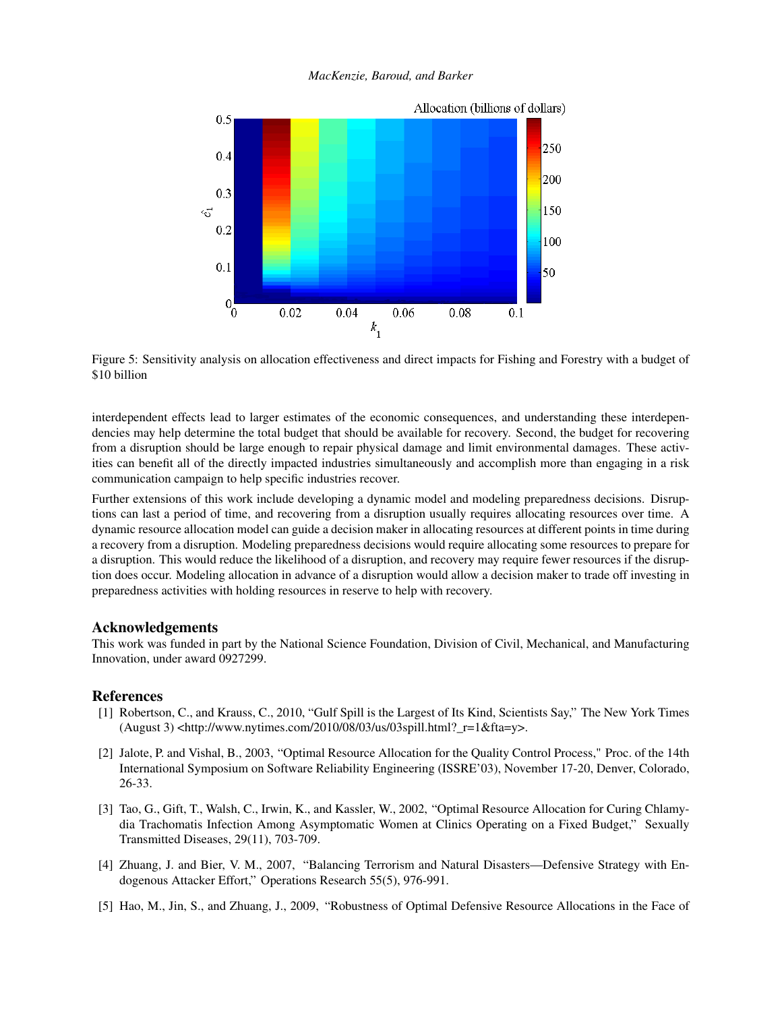<span id="page-8-5"></span>

Figure 5: Sensitivity analysis on allocation effectiveness and direct impacts for Fishing and Forestry with a budget of \$10 billion

interdependent effects lead to larger estimates of the economic consequences, and understanding these interdependencies may help determine the total budget that should be available for recovery. Second, the budget for recovering from a disruption should be large enough to repair physical damage and limit environmental damages. These activities can benefit all of the directly impacted industries simultaneously and accomplish more than engaging in a risk communication campaign to help specific industries recover.

Further extensions of this work include developing a dynamic model and modeling preparedness decisions. Disruptions can last a period of time, and recovering from a disruption usually requires allocating resources over time. A dynamic resource allocation model can guide a decision maker in allocating resources at different points in time during a recovery from a disruption. Modeling preparedness decisions would require allocating some resources to prepare for a disruption. This would reduce the likelihood of a disruption, and recovery may require fewer resources if the disruption does occur. Modeling allocation in advance of a disruption would allow a decision maker to trade off investing in preparedness activities with holding resources in reserve to help with recovery.

# Acknowledgements

This work was funded in part by the National Science Foundation, Division of Civil, Mechanical, and Manufacturing Innovation, under award 0927299.

# References

- <span id="page-8-0"></span>[1] Robertson, C., and Krauss, C., 2010, "Gulf Spill is the Largest of Its Kind, Scientists Say," The New York Times  $(August 3)$  <http://www.nytimes.com/2010/08/03/us/03spill.html?\_r=1&fta=y>.
- <span id="page-8-1"></span>[2] Jalote, P. and Vishal, B., 2003, "Optimal Resource Allocation for the Quality Control Process," Proc. of the 14th International Symposium on Software Reliability Engineering (ISSRE'03), November 17-20, Denver, Colorado, 26-33.
- <span id="page-8-2"></span>[3] Tao, G., Gift, T., Walsh, C., Irwin, K., and Kassler, W., 2002, "Optimal Resource Allocation for Curing Chlamydia Trachomatis Infection Among Asymptomatic Women at Clinics Operating on a Fixed Budget," Sexually Transmitted Diseases, 29(11), 703-709.
- <span id="page-8-3"></span>[4] Zhuang, J. and Bier, V. M., 2007, "Balancing Terrorism and Natural Disasters—Defensive Strategy with Endogenous Attacker Effort," Operations Research 55(5), 976-991.
- <span id="page-8-4"></span>[5] Hao, M., Jin, S., and Zhuang, J., 2009, "Robustness of Optimal Defensive Resource Allocations in the Face of